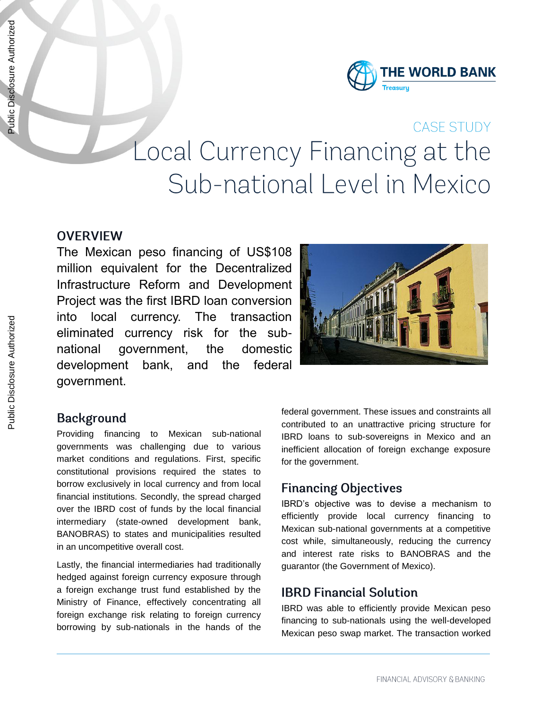

# CASE STUDY Local Currency Financing at the Sub-national Level in Mexico

#### **OVERVIEW**

The Mexican peso financing of US\$108 million equivalent for the Decentralized Infrastructure Reform and Development Project was the first IBRD loan conversion into local currency. The transaction eliminated currency risk for the subnational government, the domestic development bank, and the federal government.



### **Background**

Providing financing to Mexican sub-national governments was challenging due to various market conditions and regulations. First, specific constitutional provisions required the states to borrow exclusively in local currency and from local financial institutions. Secondly, the spread charged over the IBRD cost of funds by the local financial intermediary (state-owned development bank, BANOBRAS) to states and municipalities resulted in an uncompetitive overall cost.

Lastly, the financial intermediaries had traditionally hedged against foreign currency exposure through a foreign exchange trust fund established by the Ministry of Finance, effectively concentrating all foreign exchange risk relating to foreign currency borrowing by sub-nationals in the hands of the federal government. These issues and constraints all contributed to an unattractive pricing structure for IBRD loans to sub-sovereigns in Mexico and an inefficient allocation of foreign exchange exposure for the government.

### **Financing Objectives**

IBRD's objective was to devise a mechanism to efficiently provide local currency financing to Mexican sub-national governments at a competitive cost while, simultaneously, reducing the currency and interest rate risks to BANOBRAS and the guarantor (the Government of Mexico).

### **IBRD Financial Solution**

IBRD was able to efficiently provide Mexican peso financing to sub-nationals using the well-developed Mexican peso swap market. The transaction worked

Public Disclosure Authorized

Public Disclosure Authorized